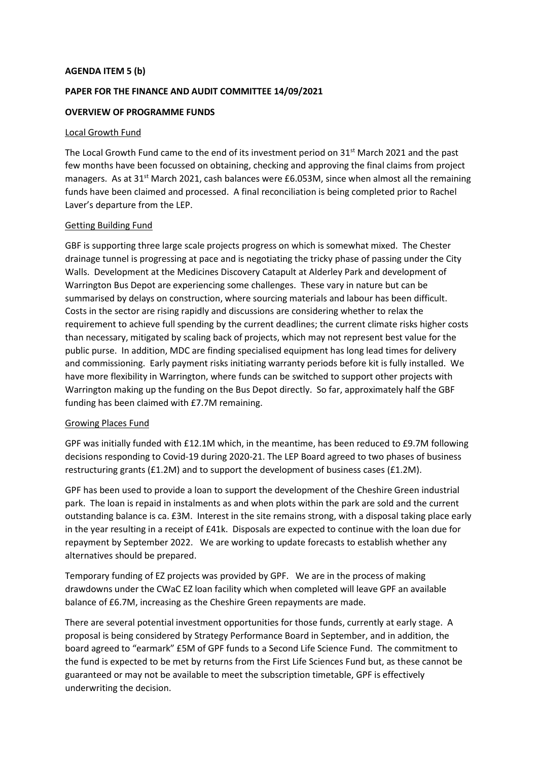## **AGENDA ITEM 5 (b)**

# **PAPER FOR THE FINANCE AND AUDIT COMMITTEE 14/09/2021**

## **OVERVIEW OF PROGRAMME FUNDS**

### Local Growth Fund

The Local Growth Fund came to the end of its investment period on 31<sup>st</sup> March 2021 and the past few months have been focussed on obtaining, checking and approving the final claims from project managers. As at  $31^{st}$  March 2021, cash balances were £6.053M, since when almost all the remaining funds have been claimed and processed. A final reconciliation is being completed prior to Rachel Laver's departure from the LEP.

## Getting Building Fund

GBF is supporting three large scale projects progress on which is somewhat mixed. The Chester drainage tunnel is progressing at pace and is negotiating the tricky phase of passing under the City Walls. Development at the Medicines Discovery Catapult at Alderley Park and development of Warrington Bus Depot are experiencing some challenges. These vary in nature but can be summarised by delays on construction, where sourcing materials and labour has been difficult. Costs in the sector are rising rapidly and discussions are considering whether to relax the requirement to achieve full spending by the current deadlines; the current climate risks higher costs than necessary, mitigated by scaling back of projects, which may not represent best value for the public purse. In addition, MDC are finding specialised equipment has long lead times for delivery and commissioning. Early payment risks initiating warranty periods before kit is fully installed. We have more flexibility in Warrington, where funds can be switched to support other projects with Warrington making up the funding on the Bus Depot directly. So far, approximately half the GBF funding has been claimed with £7.7M remaining.

### Growing Places Fund

GPF was initially funded with £12.1M which, in the meantime, has been reduced to £9.7M following decisions responding to Covid-19 during 2020-21. The LEP Board agreed to two phases of business restructuring grants (£1.2M) and to support the development of business cases (£1.2M).

GPF has been used to provide a loan to support the development of the Cheshire Green industrial park. The loan is repaid in instalments as and when plots within the park are sold and the current outstanding balance is ca. £3M. Interest in the site remains strong, with a disposal taking place early in the year resulting in a receipt of £41k. Disposals are expected to continue with the loan due for repayment by September 2022. We are working to update forecasts to establish whether any alternatives should be prepared.

Temporary funding of EZ projects was provided by GPF. We are in the process of making drawdowns under the CWaC EZ loan facility which when completed will leave GPF an available balance of £6.7M, increasing as the Cheshire Green repayments are made.

There are several potential investment opportunities for those funds, currently at early stage. A proposal is being considered by Strategy Performance Board in September, and in addition, the board agreed to "earmark" £5M of GPF funds to a Second Life Science Fund. The commitment to the fund is expected to be met by returns from the First Life Sciences Fund but, as these cannot be guaranteed or may not be available to meet the subscription timetable, GPF is effectively underwriting the decision.